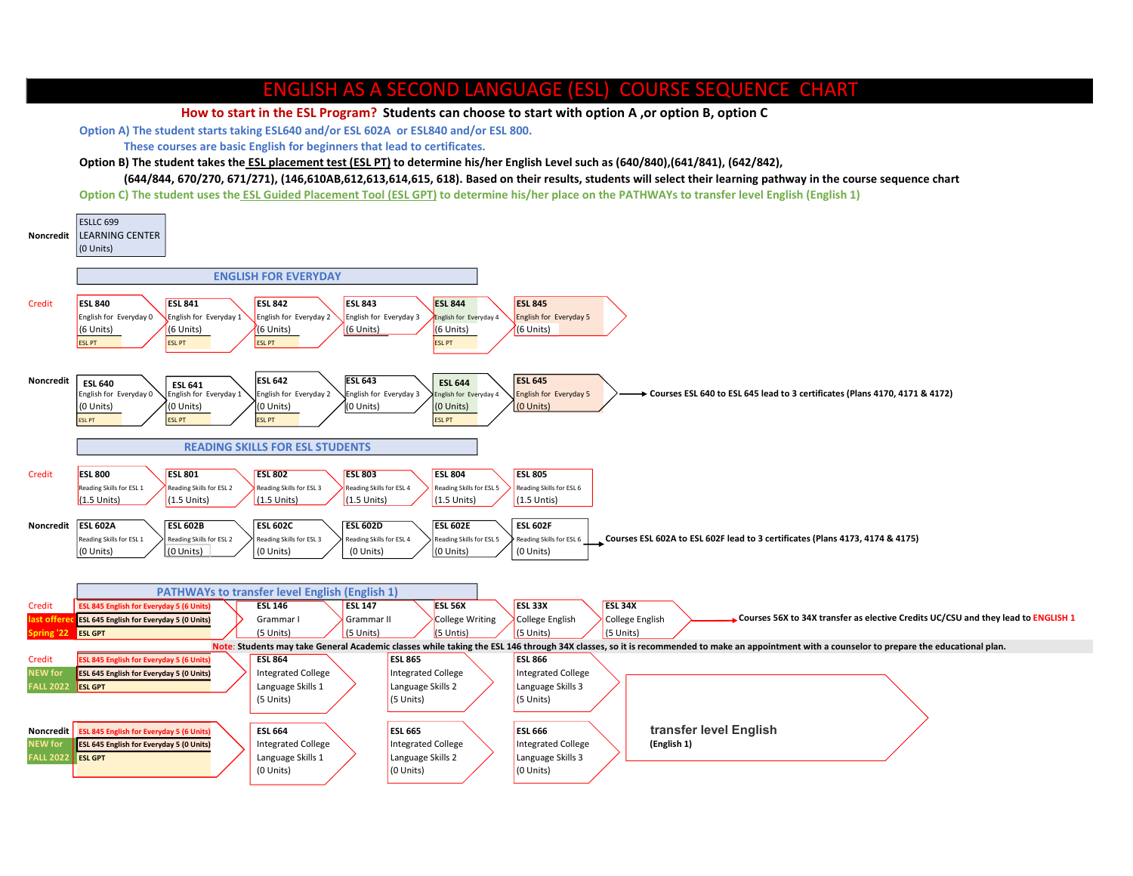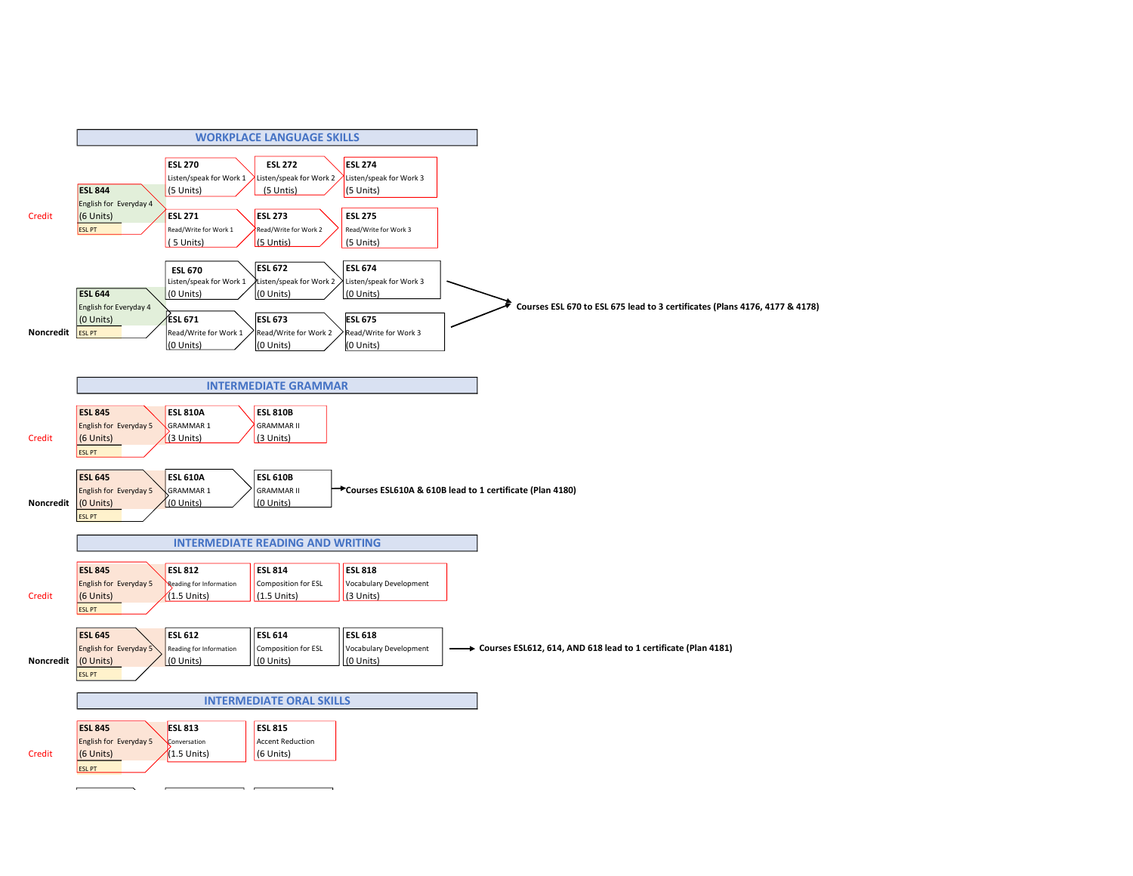